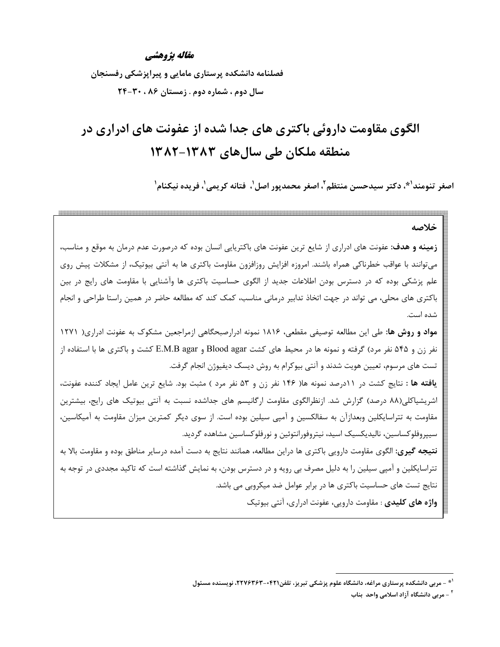#### مقاله يژوهشي

فصلنامه دانشکده پرستاری مامایی و پیراپزشکی رفسنجان سال دوم ، شماره دوم . زمستان ۸۶ ، ۳۰-۲۴

# الگوی مقاومت داروئی باکتری های جدا شده از عفونت های ادراری در منطقه ملکان طی سالهای ۱۳۸۲–۱۳۸۲

اصغر تنومند<sup>(\*</sup>، دكتر سيدحسن منتظم <sup>٢</sup>، اصغر محمديور اصل ٰ، فتانه كريمي ٰ، فريده نيكنام ٰ

خلاصه زمینه و هدف: عفونت های ادراری از شایع ترین عفونت های باکتریایی انسان بوده که درصورت عدم درمان به موقع و مناسب، میتوانند با عواقب خطرناکی همراه باشند. امروزه افزایش روزافزون مقاومت باکتری ها به آنتی بیوتیک، از مشکلات پیش روی علم پزشکی بوده که در دسترس بودن اطلاعات جدید از الگوی حساسیت باکتری ها وآشنایی با مقاومت های رایج در بین باکتری های محلی، می تواند در جهت اتخاذ تدابیر درمانی مناسب، کمک کند که مطالعه حاضر در همین راستا طراحی و انجام شده است. مواد و روش ها: طی این مطالعه توصیفی مقطعی، ۱۸۱۶ نمونه ادرارصبحگاهی ازمراجعین مشکوک به عفونت ادراری( ۱۲۷۱ نفر زن و ۵۴۵ نفر مرد) گرفته و نمونه ها در محیط های کشت Blood agar و E.M.B agar کشت و باکتری ها با استفاده از تست های مرسوم، تعیین هویت شدند و آنتی بیوکرام به روش دیسک دیفیوژن انجام گرفت. **یافته ها** : نتایج کشت در ۱۱درصد نمونه ها( ۱۴۶ نفر زن و ۵۳ نفر مرد ) مثبت بود. شایع ترین عامل ایجاد کننده عفونت، اشریشیاکلی(۸۸ درصد) گزارش شد. ازنظرالگوی مقاومت ارگانیسم های جداشده نسبت به آنتی بیوتیک های رایج، بیشترین مقاومت به تتراسایکلین وبعدازآن به سفالکسین و آمپی سیلین بوده است. از سوی دیگر کمترین میزان مقاومت به آمیکاسین، سیپروفلوکساسین، نالیدیکسیک اسید، نیتروفورانتوئین و نورفلوکساسین مشاهده گردید. **نتیجه گیری:** الگوی مقاومت دارویی باکتری ها دراین مطالعه، همانند نتایج به دست آمده درسایر مناطق بوده و مقاومت بالا به تتراسایکلین و آمپی سیلین را به دلیل مصرف بی رویه و در دسترس بودن، به نمایش گذاشته است که تاکید مجددی در توجه به نتایج تست های حساسیت باکتری ها در برابر عوامل ضد میکروبی می باشد. واژه های کلیدی : مقاومت دارویی، عفونت ادراری، آنتی بیوتیک

<sup>&</sup>lt;sup>۱۰</sup> - مربی دانشکده پرستاری مراغه، دانشگاه علوم پزشکی تبریز، تلفن۲۴۲۱-۲۲۷۶۳۶۳. نویسنده مسئول

<sup>&</sup>lt;sup>۲</sup> - مربی دانشگاه آزاد اسلامی واحد بناب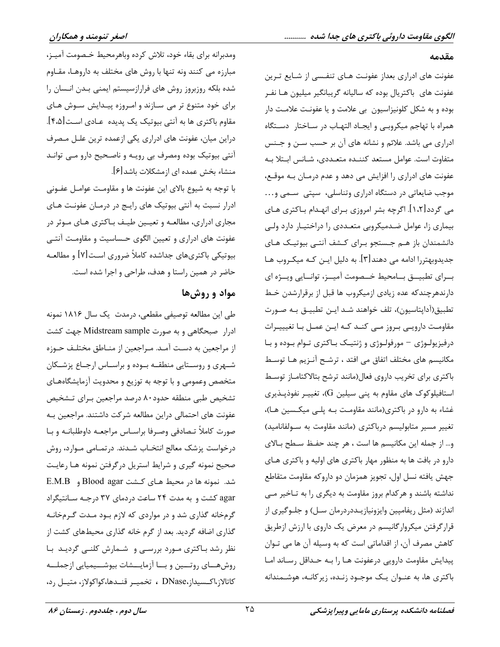#### مقدمه

عفونت های ادراری بعداز عفونت هـای تنفـسی از شـایع تـرین عفونت های باکتریال بوده که سالیانه گریبانگیر میلیون هـا نفـر بوده و به شکل کلونیزاسیون بی علامت و یا عفونت علامت دار همراه با تهاجم میکروبے و ایجـاد التهـاب در سـاختار دســتگاه ادراری می باشد. علائم و نشانه های آن بر حسب سـن و جـنس متفاوت است. عوامل مستعد كننـده متعـددى، شـانس ابـتلا بـه عفونت های ادراری را افزایش می دهد و عدم درمـان بـه موقـع، موجب ضایعاتی در دستگاه ادراری وتناسلی، سپتی سمی و... می گردد[۱،۲]. اگرچه بشر امروزی بـرای انهـدام بـاکتری هـای بیماری زا، عوامل ضدمیکروبی متعـددی را دراختیـار دارد ولـی دانشمندان باز هـم جـستجو بـراى كـشف آنتـى بيوتيـك هـاى جدیدوبهتررا ادامه می دهند[۳]. به دلیل ایـن کـه میکـروب هـا بــراي تطبيـــق بـــامحيط خـــصومت آميـــز، توانـــايي ويـــژه اي دارندهرچندکه عده زیادی ازمیکروب ها قبل از برقرارشدن خط تطبیق(آداپتاسیون)، تلف خواهند شـد ایـن تطبیـق بـه صـورت مقاومت دارويے بروز مے كنـد كـه ايـن عمـل بـا تغيييـرات درفیزیولـوژی – مورفولـوژی و ژنتیـک بـاکتری تـوام بـوده و بـا مکانیسم های مختلف اتفاق می افتد ، ترشـح آنـزیم هـا توسـط باكترى براى تخريب داروى فعال(مانند ترشح بتالاكتاماز توسط استافیلوکوک های مقاوم به پنی سیلین G)، تغییـر نفوذپــذیری غشاء به دارو در باکتری(مانند مقاومت بـه پلـی میکـسین هـا)، تغییر مسیر متابولیسم درباکتری (مانند مقاومت به سولفانامید) و... از جمله این مکانیسم ها است ، هر چند حفـظ سـطح بـالای دارو در بافت ها به منظور مهار باکتری های اولیه و باکتری هـای جهش يافته نسل اول، تجويز همزمان دو داروكه مقاومت متقاطع نداشته باشند و هرکدام بروز مقاومت به دیگری را به تـاخیر مـی اندازند (مثل ریفامپین وایزونیازیـددردرمان سـل) و جلـوگیری از قرارگرفتن میکروارگانیسم در معرض یک داروی با ارزش ازطریق كاهش مصرف آن، از اقداماتي است كه به وسيله آن ها مي تـوان پیدایش مقاومت دارویی درعفونت هـا را بـه حـداقل رسـاند امـا باکتری ها، به عنـوان یـک موجـود زنـده، زیرکانـه، هوشـمندانه

ومدبرانه براي بقاء خود، تلاش كرده وباهرمحيط خـصومت آميـز، مبارزه می کنند ونه تنها با روش های مختلف به داروهـا، مقـاوم شده بلكه روزبروز روش هاى فرارازسيستم ايمنى بـدن انـسان را برای خود متنوع تر می سازند و امروزه پیدایش سوش های مقاوم باکتری ها به آنتی بیوتیک یک پدیده عـادی اسـت[۴،۵]. دراین میان، عفونت های ادراری یکی ازعمده ترین علـل مـصرف آنتی بیوتیک بوده ومصرف بی رویـه و ناصـحیح دارو مـی توانـد منشاء بخش عمده ای ازمشکلات باشد[۶].

با توجه به شیوع بالای این عفونت ها و مقاومت عوامـل عفـونی ادرار نسبت به آنتی بیوتیک های رایج در درمـان عفونـت هـای مجاری ادراری، مطالعـه و تعیـین طیـف بـاکتری هـای مـوثر در عفونت های ادراری و تعیین الگوی حساسیت و مقاومت آنتبی بیوتیکی باکتریهای جداشده کاملاً ضروری است[۷] و مطالعـه حاضر در همین راستا و هدف، طراحی و اجرا شده است.

### مواد و روشها

طی این مطالعه توصیفی مقطعی، درمدت یک سال ۱۸۱۶ نمونه ادرار صبحگاهی و به صورت Midstream sample جهت کشت از مراجعین به دست آمـد. مـراجعین از منـاطق مختلـف حـوزه شهری و روستایی منطقـه بـوده و براسـاس ارجـاع پزشـكان متخصص وعمومی و با توجه به توزیع و محدویت آزمایشگاههـای تشخیص طبی منطقه حدود ۸۰ درصد مراجعین بـرای تـشخیص عفونت های احتمالی دراین مطالعه شرکت داشتند. مراجعین بـه صورت كاملاً تـصادفي وصـرفا براسـاس مراجعـه داوطلبانـه و بـا درخواست پزشک معالج انتخـاب شـدند. در تمـامى مـوارد، روش صحیح نمونه گیری و شرایط استریل درگرفتن نمونه هـا رعایـت شد. نمونه ها در محیط هـای کـشت Blood agar و E.M.B agar کشت و به مدت ۲۴ ساعت دردمای ۳۷ درجـه سـانتیگراد گرمخانه گذاری شد و در مواردی که لازم بود مـدت گـرمخانـه گذاری اضافه گردید. بعد از گرم خانه گذاری محیطهای کشت از نظر رشد باکتری مورد بررسی و شمارش کلنے گردیـد با روشهسای روتسین و بسا آزمایسشات بیوشسیمیایی ازجملسه كاتالاز،اكـسيداز،DNase ، تخميـر قنـدها،كواكولاز، متيـل رد،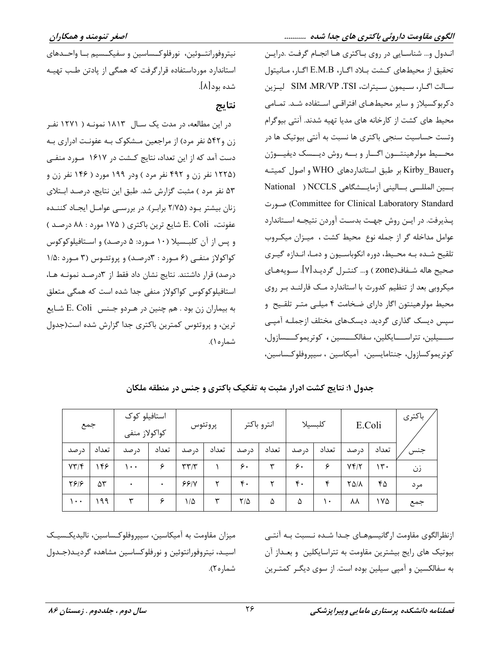نیتروفورانتـوئین، نورفلوكـساسین و سفیكـسیم بـا واحـدهای

استاندارد مورداستفاده قرارگرفت که همگی از یادتن طب تهیـه

در این مطالعه، در مدت یک سـال ۱۸۱۳ نمونـه ( ۱۲۷۱ نفـر

زن و۵۴۲ نفر مرد) از مراجعین مـشکوک بـه عفونـت ادراری بـه

دست آمد که از این تعداد، نتایج کـشت در ۱۶۱۷ مـورد منفـی

(۱۲۲۵ نفر زن و ۴۹۲ نفر مرد ) ودر ۱۹۹ مورد ( ۱۴۶ نفر زن و

۵۳ نفر مرد ) مثبت گزارش شد. طبق این نتایج، درصد ابـتلای

زنان بیشتر بود (۲/۷۵ برابر). در بررسی عوامـل ایجـاد کننـده

عفونت، E. Coli شايع ترين باكترى ( ١٧۵ مورد : ٨٨ درصد )

و پس از آن کلبـسیلا (۱۰ مـورد: ۵ درصـد) و اسـتافیلوکوکوس

کواکولاز منفی (۶ مورد : ۳درصد) و پروتئوس (۳ مورد :۱/۵

درصد) قرار داشتند. نتایج نشان داد فقط از ۳درصـد نمونـه هـا،

استافیلوکوکوس کواکولاز منفی جدا شده است که همگی متعلق

به بيماران زن بود . هم چنين در هـردو جـنس E. Coli شـايع

ترین، و پروتئوس کمترین باکتری جدا گزارش شده است(جدول

شده بود[۸].

نتايج

اندول و... شناسایی در روی باکتری هـا انجـام گرفـت .درایـن تحقيق از محيطهاي كـشت بـلاد اگـار، E.M.B اگـار، مـانيتول سـالت اگـار، سـيمون سـيترات، SIM ،MR/VP ،TSI ليـزين دکربوکسیلاز و سایر محیطهـای افتراقـی اسـتفاده شـد. تمـامی محیط های کشت از کارخانه های مدیا تهیه شدند. آنتی بیوگرام وتست حساسیت سنجی باکتری ها نسبت به آنتی بیوتیک ها در محــيط مولرهينتــون اگــار و بــه روش ديــسک ديفيــوژن و Kirby\_Bauer بر طبق استانداردهای WHO و اصول کمیته بين المللـى بـاليني آزمايــشكاهي NCCLS ( National Committee for Clinical Laboratory Standard) صورت يـذيرفت. در ايـن روش جهـت بدسـت آوردن نتيجـه اسـتاندارد عوامل مداخله گر از جمله نوع محیط کشت ، میـزان میکـروب تلقیح شده بـه محـیط، دوره انکوباسـیون و دمـا، انـدازه گیـری صحيح هاله شـفاف(Zone ) و… كنتـرل گرديـد[۷]. سـويههـاي میکروبی بعد از تنظیم کدورت با استاندارد مـک فارلنـد بـر روی محیط مولرهینتون اگار دارای ضخامت ۴ میلـی متـر تلقـیح و سپس دیسک گذاری گردید. دیسکهای مختلف ازجملـه آمپـی ســــيلين، تتراســــايكلين، سفالكــــسين ، كوتريموكــــسازول، كوتريموكسازول، جنتامايسين، آميكاسين ، سيپروفلوكـساسين،

استافیلو کوک باكترى انترو باكتر كلبسيلا پروتئوس E.Coli جمع كواكولاز منفى د, صد تعداد د, صد تعداد د, صد تعداد د, صد تعداد د, صد تعداد تعداد جنس در صد  $YY/F$ 148  $\lambda \cdot \cdot$ ۶  $\mathbf{r}\mathbf{r}/\mathbf{r}$ ۶. ٣  $\zeta$ . ۶  $Yf/Y$  $14.$  $\lambda$ زن  $Y919$  $\Delta \mathbf{r}$  $99/1$  $\mathsf{r}$  $\mathfrak{r}$ .  $\mathsf{r}$  $\mathfrak{r}$ .  $\mathbf{r}$  $Y\Delta/\Lambda$  $f \Delta$  $\ddot{\phantom{0}}$  $\ddot{\phantom{0}}$ مر د  $\cdots$  $199$ ٣ ۶  $1/\Delta$ ٣  $Y/\Delta$  $\lambda$  $\lambda \lambda$  $1<sub>V</sub>$ Δ  $\Lambda$ جمع

جدول ۱: نتایج کشت ادرار مثبت به تفکیک باکتری و جنس در منطقه ملکان

شماره ۱).

میزان مقاومت به آمیکاسین، سیپروفلوکساسین، نالیدیکـسیـک اسيـد، نيتروفورانتوئين و نورفلوكساسين مشاهده گرديـد(جـدول شماره ۲).

ازنظرالگوی مقاومت ارگانیسمهای جـدا شـده نـسبت بـه آنتـی بیوتیک های رایج بیشترین مقاومت به تتراسایکلین و بعداز آن به سفالکسین و آمپی سیلین بوده است. از سوی دیگـر کمتـرین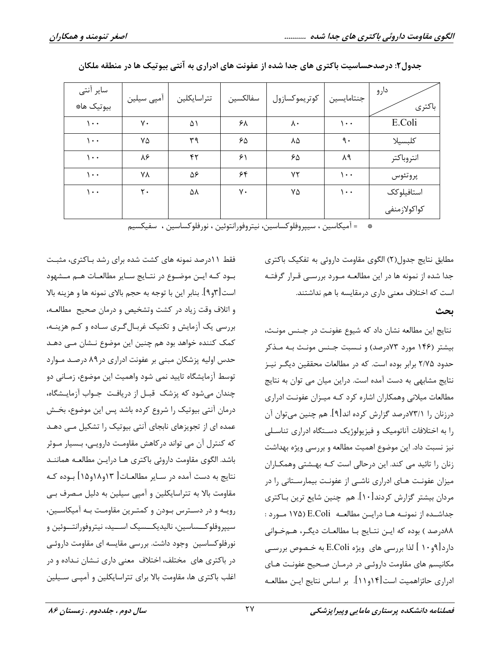| ساير آنتى<br>بيوتيك ها# | امپی سیلین | تتراسايكلين | سفالكسين | كوتريموكسازول | جنتامايسين | دارو<br>باكترى |
|-------------------------|------------|-------------|----------|---------------|------------|----------------|
| $\cdots$                | ٧٠         | ۵۱          | ۶۸       | ٨٠            | ۱۰۰        | E.Coli         |
| $\cdots$                | ۷۵         | ٣٩          | ۶۵       | ٨۵            | ٩.         | كلبسيلا        |
| $\cdots$                | ٨۶         | ۴٢          | ۶١       | ۶۵            | ٨٩         | انتروباكتر     |
| $\cdots$                | ٧٨         | ۵۶          | ۶۴       | ٧٢            | $\cdots$   | پروتئوس        |
| $\cdots$                | ٢٠         | ۵۸          | ٧٠       | ۷۵            | ۱۰۰        | استافيلوكك     |
|                         |            |             |          |               |            | كواكولازمنفى   |

| جدول۲: درصدحساسیت باکتری های جدا شده از عفونت های ادراری به آنتی بیوتیک ها در منطقه ملکان |  |  |
|-------------------------------------------------------------------------------------------|--|--|
|-------------------------------------------------------------------------------------------|--|--|

\* = آميكاسين ، سيپروفلوكساسين، نيتروفورانتوئين ، نورفلوكساسين ، سفيكسيم

مطابق نتایج جدول(٢) الگوی مقاومت داروئی به تفکیک باکتری جدا شده از نمونه ها در این مطالعـه مــورد بررســی قــرار گرفتــه است که اختلاف معنی داری درمقایسه با هم نداشتند.

ىحث

نتايج اين مطالعه نشان داد كه شيوع عفونت در جـنس مونـث، بیشتر (۱۴۶ مورد ۷۳درصد) و نـسبت جـنس مونـث بـه مـذکر حدود ۲/۷۵ برابر بوده است. که در مطالعات محققین دیگـر نیـز نتایج مشابهی به دست آمده است. دراین میان می توان به نتایج مطالعات میلانی وهمکاران اشاره کرد کـه میـزان عفونـت ادراری درزنان را ۷۳/۱درصد گزارش کرده اند[۹]. هم چنین میتوان آن را به اختلافات آناتومیک و فیزیولوژیک دستگاه ادراری تناسلی نیز نسبت داد. این موضوع اهمیت مطالعه و بررسی ویژه بهداشت زنان را تائید می کند. این درحالی است کـه بهـشتی وهمکـاران میزان عفونت هـای ادراری ناشـی از عفونـت بیمارسـتانی را در مردان بیشتر گزارش کردند $[\,\cdot\,]\,.$ هم چنین شایع ترین بـاکتری جداشــده از نمونــه هــا درايــن مطالعــه E.Coli (۱۷۵ مــورد : ٨٨درصد ) بوده كه ايـن نتـايج بـا مطالعـات ديگـر، هـمخـواني دارد[۹و۱۰ ] لذا بررسي هاي ويژه E.Coli به خـصوص بررسـي مکانیسم های مقاومت داروئی در درمـان صـحیح عفونـت هـای ادراری حائزاهمیت است[۱۴و۱۱]. بر اساس نتایج ایـن مطالعـه

فقط ۱۱درصد نمونه های کشت شده برای رشد بـاکتری، مثبـت بود کـه ايــن موضــوع در نتــايج ســاير مطالعــات هــم مــشهود است[۳و۹]. بنابر این با توجه به حجم بالای نمونه ها و هزینه بالا و اتلاف وقت زياد در كشت وتشخيص و درمان صحيح مطالعه، بررسی یک آزمایش و تکنیک غربـالگـری سـاده و کـم هزینـه، کمک کننده خواهد بود هم چنین این موضوع نـشان مـی دهـد حدس اولیه پزشکان مبنی بر عفونت ادراری در۸۹ درصد مـوارد توسط آزمایشگاه تایید نمی شود واهمیت این موضوع، زمـانی دو چندان میشود که پزشک قبـل از دریافت جـواب آزمایـشگاه، درمان آنتی بیوتیک را شروع کرده باشد پس این موضوع، بخـش عمده ای از تجویزهای نابجای آنتی بیوتیک را تشکیل مـی دهـد که کنترل آن می تواند در کاهش مقاومت دارویـی، بـسیار مـوثر باشد. الگوی مقاومت داروئی باکتری هـا درایـن مطالعـه هماننـد نتايج به دست آمده در سـاير مطالعـات[ ١٣و١٨و١٨] بـوده كـه مقاومت بالا به تتراسایکلین و آمپی سیلین به دلیل مصرف بـی رویـه و در دسـترس بـودن و کمتـرین مقاومـت بـه آمیکاسـین، سيپروفلوكـــساسين، ناليديكـــسيک اســـيد، نيتروفورانتـــوئين و نورفلوکساسین وجود داشت. بررسی مقایسه ای مقاومت داروئی در باکتری های مختلف، اختلاف معنی داری نـشان نـداده و در اغلب باکتری ها، مقاومت بالا برای تتراسایکلین و آمپـی سـیلین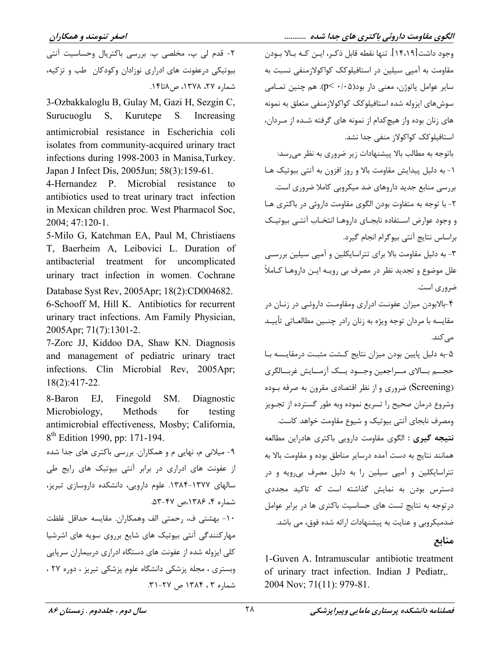٢- قدم لي پ، مخلصي پ. بررسي باكتريال وحساسيت آنتي بیوتیکی درعفونت های ادراری نوزادان وکودکان طب و تزکیه، شماره ۲۷، ۱۳۷۸، ص۸تا۱۴.

3-Ozbakkaloglu B, Gulay M, Gazi H, Sezgin C, Surucuoglu S, Kurutepe S. Increasing antimicrobial resistance in Escherichia coli isolates from community-acquired urinary tract infections during 1998-2003 in Manisa, Turkey. Japan J Infect Dis, 2005Jun; 58(3):159-61.

4-Hernandez P. Microbial resistance antibiotics used to treat urinary tract infection in Mexican children proc. West Pharmacol Soc.  $2004; 47:120-1.$ 

5-Milo G, Katchman EA, Paul M, Christiaens T, Baerheim A, Leibovici L. Duration of treatment for uncomplicated antibacterial urinary tract infection in women. Cochrane

Database Syst Rev, 2005Apr; 18(2):CD004682. 6-Schooff M, Hill K. Antibiotics for recurrent urinary tract infections. Am Family Physician, 2005Apr; 71(7):1301-2.

7-Zorc JJ, Kiddoo DA, Shaw KN, Diagnosis and management of pediatric urinary tract infections. Clin Microbial Rev. 2005Apr; 18(2):417-22.

8-Baron  $EJ_{\rm A}$ Finegold SM. Diagnostic Microbiology, Methods for testing antimicrobial effectiveness, Mosby; California, 8<sup>th</sup> Edition 1990, pp: 171-194.

۹- میلانی م، نهایی م و همکاران. بررسی باکتری های جدا شده از عفونت های ادراری در برابر آنتی بیوتیک های رایج طی سالهای ۱۳۷۷-۱۳۸۴. علوم دارویی، دانشکده داروسازی تبریز، شماره ۴، ۱۳۸۶،ص ۴۷-۵۳.

١٠- بهشتي ف، رحمتي الف وهمكاران. مقايسه حداقل غلظت مهارکنندگی آنتی بیوتیک های شایع برروی سویه های اشرشیا کلی ایزوله شده از عفونت های دستگاه ادراری دربیماران سرپایی وبستری ، مجله پزشکی دانشگاه علوم پزشکی تبریز ، دوره ۲۷ ، شماره ۳، ۱۳۸۴ ص ۲۷-۳۱.

وجود داشت[۱۴،۱۹]. تنها نقطه قابل ذكـر، ايــن كـه بــالا بــودن مقاومت به آمیے سیلین در استافیلوکک کواکولازمنفی نسبت به ساير عوامل پاتوژن، معنى دار بود $p<\cdot$ ۰/۰  $\infty$ ). هم چنين تمـامى سوش های ایزوله شده استافیلوکک کواکولازمنفی متعلق به نمونه های زنان بوده واز هیچکدام از نمونه های گرفته شـده از مـردان، استافیلوکک کواکولاز منفی جدا نشد.

باتوجه به مطالب بالا پیشنهادات زیر ضروری به نظر می رسد: ۱- به دلیل پیدایش مقاومت بالا و روز افزون به آنتی بیوتیک هـا بررسی منابع جدید داروهای ضد میکروبی کاملا ضروری است. ۲- با توجه به متفاوت بودن الگوی مقاومت داروئی در باکتری هـا و وجود عوارض استفاده نابجـاي داروهـا انتخـاب آنتـي بيوتيـك براساس نتايج آنتي بيوكرام انجام كيرد.

۳- به دلیل مقاومت بالا برای تتراسایکلین و آمیی سیلین بررسے علل موضوع و تجدید نظر در مصرف بی رویـه ایــن داروهـا کــاملاً ضروری است.

۴-بالابودن میزان عفونت ادراری ومقاومت داروئے، در زنان در مقايسه با مردان توجه ويژه به زنان رادر چنــين مطالعــاتي تأييــد مے کند.

۵-به دلیل پایین بودن میزان نتایج کـشت مثبـت درمقایـسه بـا حجــم بــالاي مــراجعين وجــود يــك آزمــايش غربــالگرى (Screening) ضروری و از نظر اقتصادی مقرون به صرفه بـوده وشروع درمان صحيح را تسريع نموده وبه طور گسترده از تجـويز ومصرف نابجاي آنتي بيوتيك و شيوع مقاومت خواهد كاست. **نتیجه گیری :** الگوی مقاومت دارویی باکتری هادراین مطالعه همانند نتايج به دست آمده درساير مناطق بوده و مقاومت بالا به تتراسایکلین و آمپی سیلین را به دلیل مصرف بی رویه و در دسترس بودن به نمایش گذاشته است که تاکید مجددی در توجه به نتایج تست های حساسیت باکتری ها در برابر عوامل ضدمیکروبی و عنایت به پیشنهادات ارائه شده فوق، می باشد.

منابع

1-Guven A. Intramuscular antibiotic treatment of urinary tract infection. Indian J Pediatr,. 2004 Nov: 71(11): 979-81.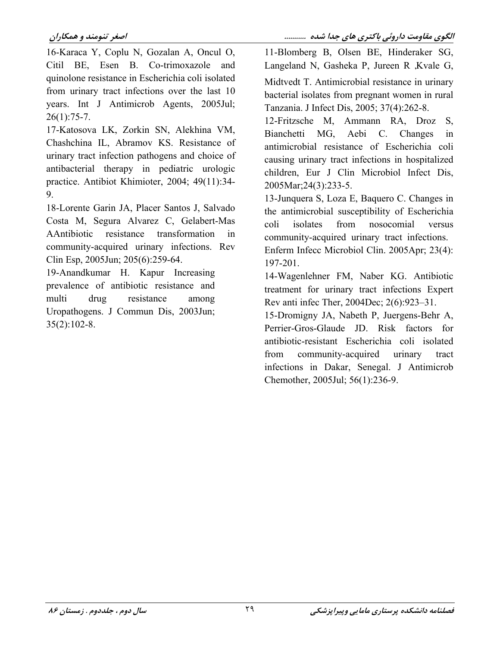16-Karaca Y, Coplu N, Gozalan A, Oncul O, Citil BE, Esen B. Co-trimoxazole and quinolone resistance in Escherichia coli isolated from urinary tract infections over the last 10 years. Int J Antimicrob Agents, 2005Jul;  $26(1):75-7.$ 

17-Katosova LK, Zorkin SN, Alekhina VM, Chashchina IL, Abramov KS. Resistance of urinary tract infection pathogens and choice of antibacterial therapy in pediatric urologic practice. Antibiot Khimioter, 2004; 49(11):34-9.

18-Lorente Garin JA, Placer Santos J, Salvado Costa M, Segura Alvarez C, Gelabert-Mas AAntibiotic resistance transformation  $in$ community-acquired urinary infections. Rev Clin Esp, 2005Jun; 205(6):259-64.

19-Anandkumar H. Kapur Increasing prevalence of antibiotic resistance and multi drug resistance among Uropathogens. J Commun Dis, 2003Jun;  $35(2):102-8.$ 

11-Blomberg B, Olsen BE, Hinderaker SG, Langeland N, Gasheka P, Jureen R, Kvale G, Midtvedt T. Antimicrobial resistance in urinary bacterial isolates from pregnant women in rural Tanzania. J Infect Dis, 2005; 37(4):262-8.

12-Fritzsche M, Ammann RA, Droz  $S_{-}$ Bianchetti MG, Aebi C. Changes  $in$ antimicrobial resistance of Escherichia coli causing urinary tract infections in hospitalized children, Eur J Clin Microbiol Infect Dis, 2005Mar; 24(3): 233-5.

13-Junguera S, Loza E, Baguero C. Changes in the antimicrobial susceptibility of Escherichia coli isolates from nosocomial versus community-acquired urinary tract infections. Enferm Infecc Microbiol Clin. 2005Apr; 23(4): 197-201.

14-Wagenlehner FM, Naber KG. Antibiotic treatment for urinary tract infections Expert Rev anti infec Ther, 2004Dec; 2(6):923-31.

15-Dromigny JA, Nabeth P, Juergens-Behr A, Perrier-Gros-Glaude JD. Risk factors for antibiotic-resistant Escherichia coli isolated from community-acquired urinary tract infections in Dakar, Senegal. J Antimicrob Chemother, 2005Jul; 56(1):236-9.